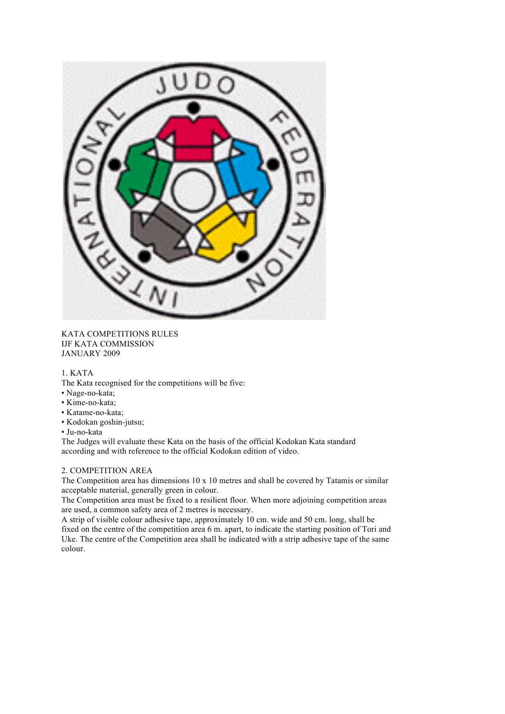

KATA COMPETITIONS RULES IJF KATA COMMISSION JANUARY 2009

# 1. KATA

The Kata recognised for the competitions will be five:

- Nage-no-kata;
- Kime-no-kata;
- Katame-no-kata;
- Kodokan goshin-jutsu;
- Ju-no-kata

The Judges will evaluate these Kata on the basis of the official Kodokan Kata standard according and with reference to the official Kodokan edition of video.

# 2. COMPETITION AREA

The Competition area has dimensions  $10 \times 10$  metres and shall be covered by Tatamis or similar acceptable material, generally green in colour.

The Competition area must be fixed to a resilient floor. When more adjoining competition areas are used, a common safety area of 2 metres is necessary.

A strip of visible colour adhesive tape, approximately 10 cm. wide and 50 cm. long, shall be fixed on the centre of the competition area 6 m. apart, to indicate the starting position of Tori and Uke. The centre of the Competition area shall be indicated with a strip adhesive tape of the same colour.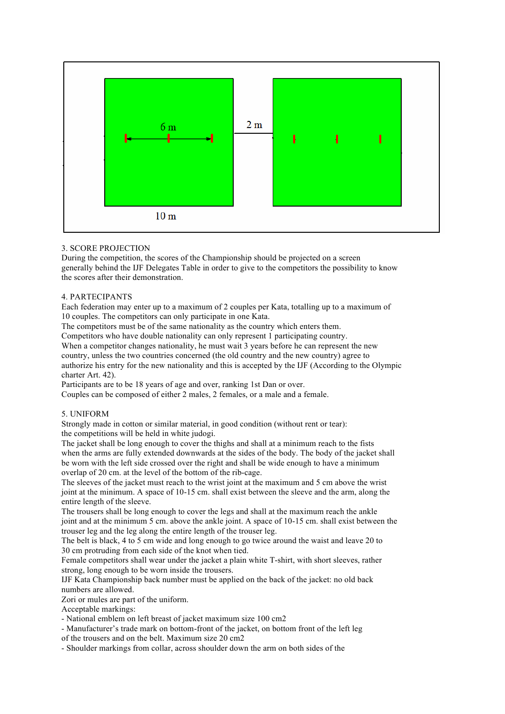

# 3. SCORE PROJECTION

During the competition, the scores of the Championship should be projected on a screen generally behind the IJF Delegates Table in order to give to the competitors the possibility to know the scores after their demonstration.

## 4. PARTECIPANTS

Each federation may enter up to a maximum of 2 couples per Kata, totalling up to a maximum of 10 couples. The competitors can only participate in one Kata.

The competitors must be of the same nationality as the country which enters them.

Competitors who have double nationality can only represent 1 participating country.

When a competitor changes nationality, he must wait 3 years before he can represent the new country, unless the two countries concerned (the old country and the new country) agree to authorize his entry for the new nationality and this is accepted by the IJF (According to the Olympic charter Art. 42).

Participants are to be 18 years of age and over, ranking 1st Dan or over.

Couples can be composed of either 2 males, 2 females, or a male and a female.

#### 5. UNIFORM

Strongly made in cotton or similar material, in good condition (without rent or tear): the competitions will be held in white judogi.

The jacket shall be long enough to cover the thighs and shall at a minimum reach to the fists when the arms are fully extended downwards at the sides of the body. The body of the jacket shall be worn with the left side crossed over the right and shall be wide enough to have a minimum overlap of 20 cm. at the level of the bottom of the rib-cage.

The sleeves of the jacket must reach to the wrist joint at the maximum and 5 cm above the wrist joint at the minimum. A space of 10-15 cm. shall exist between the sleeve and the arm, along the entire length of the sleeve.

The trousers shall be long enough to cover the legs and shall at the maximum reach the ankle joint and at the minimum 5 cm. above the ankle joint. A space of 10-15 cm. shall exist between the trouser leg and the leg along the entire length of the trouser leg.

The belt is black, 4 to 5 cm wide and long enough to go twice around the waist and leave 20 to 30 cm protruding from each side of the knot when tied.

Female competitors shall wear under the jacket a plain white T-shirt, with short sleeves, rather strong, long enough to be worn inside the trousers.

IJF Kata Championship back number must be applied on the back of the jacket: no old back numbers are allowed.

Zori or mules are part of the uniform.

Acceptable markings:

- National emblem on left breast of jacket maximum size 100 cm2

- Manufacturer's trade mark on bottom-front of the jacket, on bottom front of the left leg

of the trousers and on the belt. Maximum size 20 cm2

- Shoulder markings from collar, across shoulder down the arm on both sides of the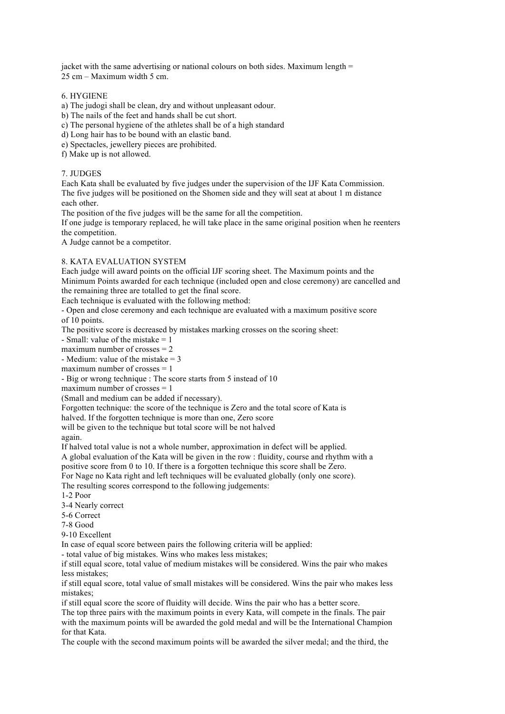jacket with the same advertising or national colours on both sides. Maximum length  $=$ 25 cm – Maximum width 5 cm.

# 6. HYGIENE

- a) The judogi shall be clean, dry and without unpleasant odour.
- b) The nails of the feet and hands shall be cut short.
- c) The personal hygiene of the athletes shall be of a high standard
- d) Long hair has to be bound with an elastic band.
- e) Spectacles, jewellery pieces are prohibited.
- f) Make up is not allowed.

## 7. JUDGES

Each Kata shall be evaluated by five judges under the supervision of the IJF Kata Commission. The five judges will be positioned on the Shomen side and they will seat at about 1 m distance each other.

The position of the five judges will be the same for all the competition.

If one judge is temporary replaced, he will take place in the same original position when he reenters the competition.

A Judge cannot be a competitor.

# 8. KATA EVALUATION SYSTEM

Each judge will award points on the official IJF scoring sheet. The Maximum points and the Minimum Points awarded for each technique (included open and close ceremony) are cancelled and the remaining three are totalled to get the final score.

Each technique is evaluated with the following method:

- Open and close ceremony and each technique are evaluated with a maximum positive score of 10 points.

The positive score is decreased by mistakes marking crosses on the scoring sheet:

- Small: value of the mistake  $= 1$ 

maximum number of crosses  $= 2$ 

- Medium: value of the mistake  $= 3$ 

maximum number of crosses  $= 1$ 

- Big or wrong technique : The score starts from 5 instead of 10

maximum number of crosses  $= 1$ 

(Small and medium can be added if necessary).

Forgotten technique: the score of the technique is Zero and the total score of Kata is

halved. If the forgotten technique is more than one, Zero score

will be given to the technique but total score will be not halved

again.

If halved total value is not a whole number, approximation in defect will be applied.

A global evaluation of the Kata will be given in the row : fluidity, course and rhythm with a

positive score from 0 to 10. If there is a forgotten technique this score shall be Zero.

For Nage no Kata right and left techniques will be evaluated globally (only one score).

The resulting scores correspond to the following judgements:

1-2 Poor

3-4 Nearly correct

5-6 Correct

7-8 Good

9-10 Excellent

In case of equal score between pairs the following criteria will be applied:

- total value of big mistakes. Wins who makes less mistakes;

if still equal score, total value of medium mistakes will be considered. Wins the pair who makes less mistakes;

if still equal score, total value of small mistakes will be considered. Wins the pair who makes less mistakes;

if still equal score the score of fluidity will decide. Wins the pair who has a better score.

The top three pairs with the maximum points in every Kata, will compete in the finals. The pair with the maximum points will be awarded the gold medal and will be the International Champion for that Kata.

The couple with the second maximum points will be awarded the silver medal; and the third, the